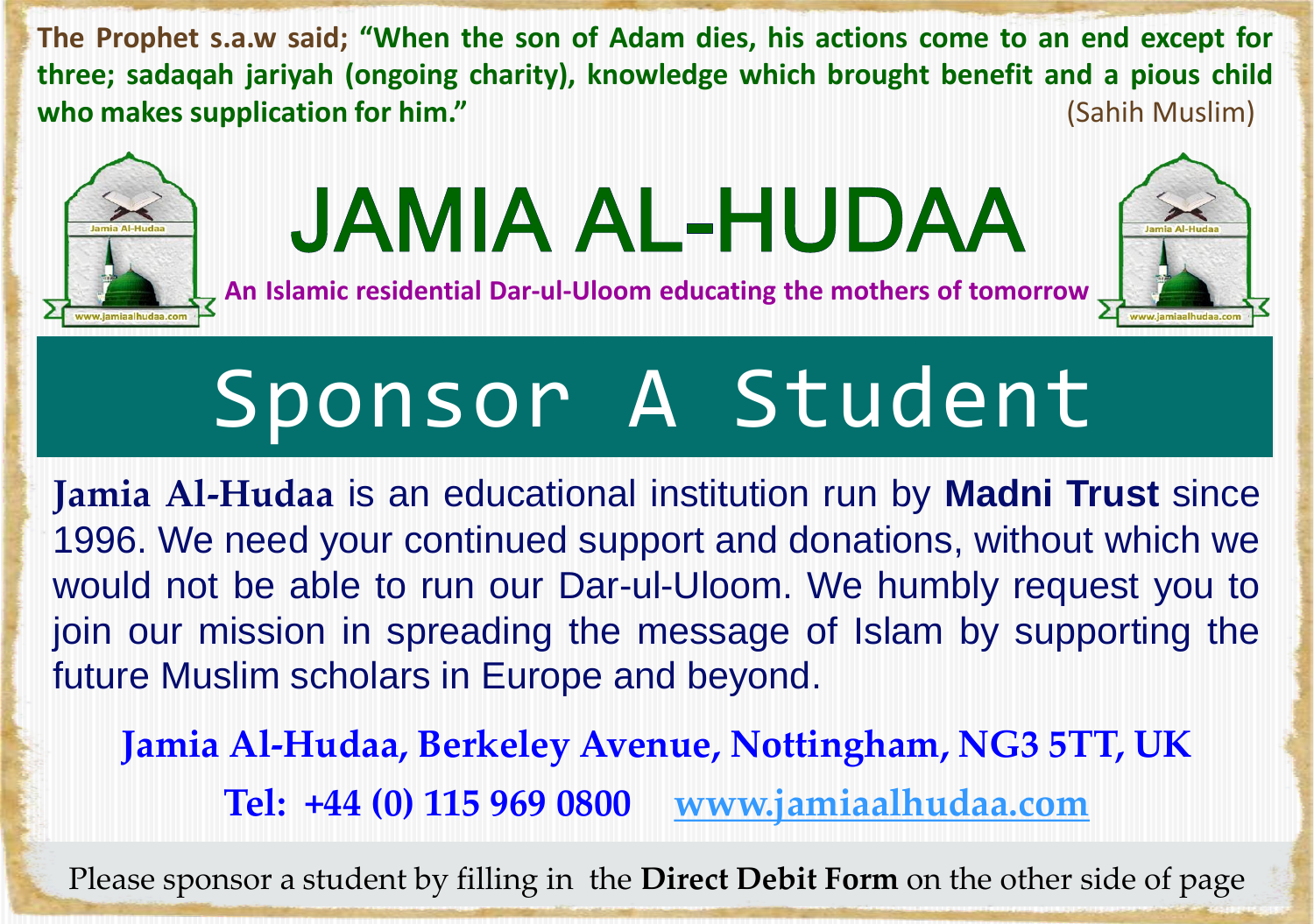**The Prophet s.a.w said; "When the son of Adam dies, his actions come to an end except for three; sadaqah jariyah (ongoing charity), knowledge which brought benefit and a pious child who makes supplication for him."** (Sahih Muslim)



## **JAMIA AL-HUDAA**





## Sponsor A Student

**Jamia Al-Hudaa** is an educational institution run by **Madni Trust** since 1996. We need your continued support and donations, without which we would not be able to run our Dar-ul-Uloom. We humbly request you to join our mission in spreading the message of Islam by supporting the future Muslim scholars in Europe and beyond.

**Jamia Al-Hudaa, Berkeley Avenue, Nottingham, NG3 5TT, UK Tel: +44 (0) 115 969 0800 [www.jamiaalhudaa.com](http://www.jamiaalhudaa.com/)** 

Please sponsor a student by filling in the **Direct Debit Form** on the other side of page